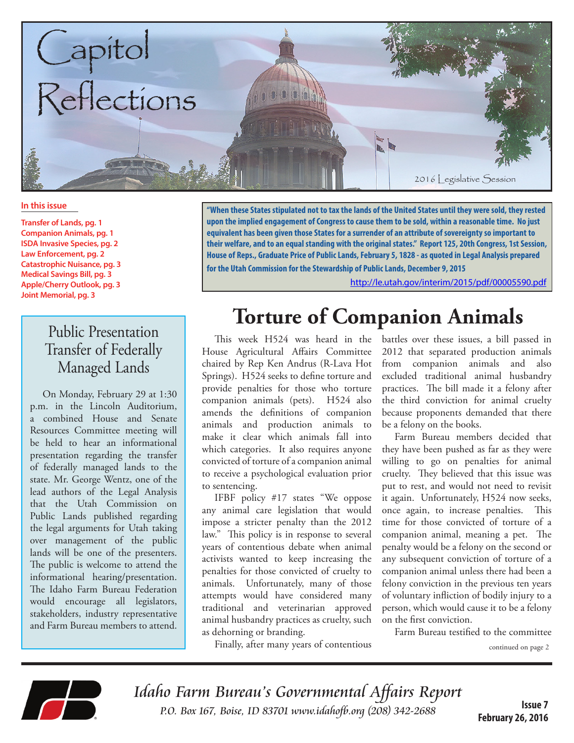

#### **In this issue**

**Transfer of Lands, pg. 1 Companion Animals, pg. 1 ISDA Invasive Species, pg. 2 Law Enforcement, pg. 2 Catastrophic Nuisance, pg. 3 Medical Savings Bill, pg. 3 Apple/Cherry Outlook, pg. 3 Joint Memorial, pg. 3**

#### Public Presentation Transfer of Federally Managed Lands

On Monday, February 29 at 1:30 p.m. in the Lincoln Auditorium, a combined House and Senate Resources Committee meeting will be held to hear an informational presentation regarding the transfer of federally managed lands to the state. Mr. George Wentz, one of the lead authors of the Legal Analysis that the Utah Commission on Public Lands published regarding the legal arguments for Utah taking over management of the public lands will be one of the presenters. The public is welcome to attend the informational hearing/presentation. The Idaho Farm Bureau Federation would encourage all legislators, stakeholders, industry representative and Farm Bureau members to attend.

**"When these States stipulated not to tax the lands of the United States until they were sold, they rested upon the implied engagement of Congress to cause them to be sold, within a reasonable time. No just equivalent has been given those States for a surrender of an attribute of sovereignty so important to their welfare, and to an equal standing with the original states." Report 125, 20th Congress, 1st Session, House of Reps., Graduate Price of Public Lands, February 5, 1828 - as quoted in Legal Analysis prepared for the Utah Commission for the Stewardship of Public Lands, December 9, 2015** 

<http://le.utah.gov/interim/2015/pdf/00005590.pdf>

## **Torture of Companion Animals**

This week H524 was heard in the House Agricultural Affairs Committee chaired by Rep Ken Andrus (R-Lava Hot Springs). H524 seeks to define torture and provide penalties for those who torture companion animals (pets). H524 also amends the definitions of companion animals and production animals to make it clear which animals fall into which categories. It also requires anyone convicted of torture of a companion animal to receive a psychological evaluation prior to sentencing.

IFBF policy #17 states "We oppose any animal care legislation that would impose a stricter penalty than the 2012 law." This policy is in response to several years of contentious debate when animal activists wanted to keep increasing the penalties for those convicted of cruelty to animals. Unfortunately, many of those attempts would have considered many traditional and veterinarian approved animal husbandry practices as cruelty, such as dehorning or branding.

battles over these issues, a bill passed in 2012 that separated production animals from companion animals and also excluded traditional animal husbandry practices. The bill made it a felony after the third conviction for animal cruelty because proponents demanded that there be a felony on the books.

Farm Bureau members decided that they have been pushed as far as they were willing to go on penalties for animal cruelty. They believed that this issue was put to rest, and would not need to revisit it again. Unfortunately, H524 now seeks, once again, to increase penalties. This time for those convicted of torture of a companion animal, meaning a pet. The penalty would be a felony on the second or any subsequent conviction of torture of a companion animal unless there had been a felony conviction in the previous ten years of voluntary infliction of bodily injury to a person, which would cause it to be a felony on the first conviction.

Farm Bureau testified to the committee

continued on page 2



Idaho Farm Bureau's Governmental Affairs Report P.O. Box 167, Boise, ID 83701 [www.idahofb.org \(2](http://www.idahofb.org)08) 342-2688

Finally, after many years of contentious

**Issue 7 February 26, 2016**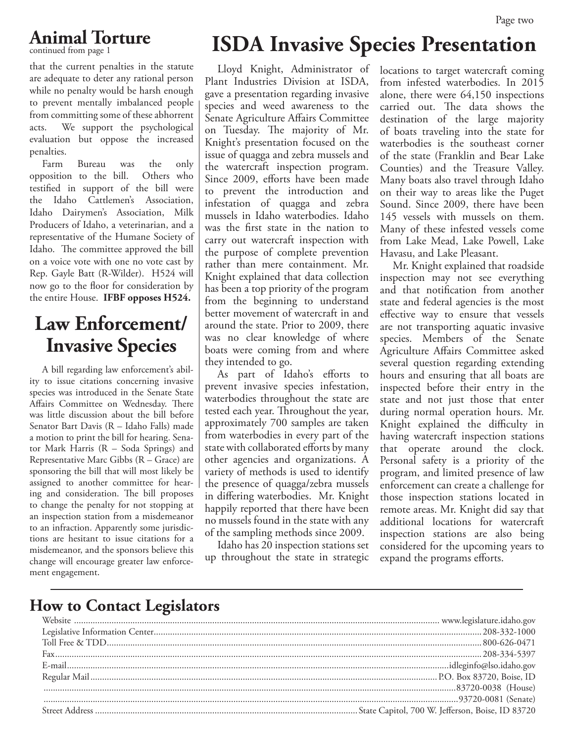# **Animal Torture**

continued from page 1

that the current penalties in the statute are adequate to deter any rational person while no penalty would be harsh enough to prevent mentally imbalanced people from committing some of these abhorrent acts. We support the psychological evaluation but oppose the increased penalties.

Farm Bureau was the only opposition to the bill. Others who testified in support of the bill were the Idaho Cattlemen's Association, Idaho Dairymen's Association, Milk Producers of Idaho, a veterinarian, and a representative of the Humane Society of Idaho. The committee approved the bill on a voice vote with one no vote cast by Rep. Gayle Batt (R-Wilder). H524 will now go to the floor for consideration by the entire House. **IFBF opposes H524.**

#### **Law Enforcement/ Invasive Species**

A bill regarding law enforcement's ability to issue citations concerning invasive species was introduced in the Senate State Affairs Committee on Wednesday. There was little discussion about the bill before Senator Bart Davis (R – Idaho Falls) made a motion to print the bill for hearing. Senator Mark Harris (R – Soda Springs) and Representative Marc Gibbs (R – Grace) are sponsoring the bill that will most likely be assigned to another committee for hearing and consideration. The bill proposes to change the penalty for not stopping at an inspection station from a misdemeanor to an infraction. Apparently some jurisdictions are hesitant to issue citations for a misdemeanor, and the sponsors believe this change will encourage greater law enforcement engagement.

# **ISDA Invasive Species Presentation**

Lloyd Knight, Administrator of Plant Industries Division at ISDA, gave a presentation regarding invasive species and weed awareness to the Senate Agriculture Affairs Committee on Tuesday. The majority of Mr. Knight's presentation focused on the issue of quagga and zebra mussels and the watercraft inspection program. Since 2009, efforts have been made to prevent the introduction and infestation of quagga and zebra mussels in Idaho waterbodies. Idaho was the first state in the nation to carry out watercraft inspection with the purpose of complete prevention rather than mere containment. Mr. Knight explained that data collection has been a top priority of the program from the beginning to understand better movement of watercraft in and around the state. Prior to 2009, there was no clear knowledge of where boats were coming from and where they intended to go.

As part of Idaho's efforts to prevent invasive species infestation, waterbodies throughout the state are tested each year. Throughout the year, approximately 700 samples are taken from waterbodies in every part of the state with collaborated efforts by many other agencies and organizations. A variety of methods is used to identify the presence of quagga/zebra mussels in differing waterbodies. Mr. Knight happily reported that there have been no mussels found in the state with any of the sampling methods since 2009.

Idaho has 20 inspection stations set up throughout the state in strategic

locations to target watercraft coming from infested waterbodies. In 2015 alone, there were 64,150 inspections carried out. The data shows the destination of the large majority of boats traveling into the state for waterbodies is the southeast corner of the state (Franklin and Bear Lake Counties) and the Treasure Valley. Many boats also travel through Idaho on their way to areas like the Puget Sound. Since 2009, there have been 145 vessels with mussels on them. Many of these infested vessels come from Lake Mead, Lake Powell, Lake Havasu, and Lake Pleasant.

Mr. Knight explained that roadside inspection may not see everything and that notification from another state and federal agencies is the most effective way to ensure that vessels are not transporting aquatic invasive species. Members of the Senate Agriculture Affairs Committee asked several question regarding extending hours and ensuring that all boats are inspected before their entry in the state and not just those that enter during normal operation hours. Mr. Knight explained the difficulty in having watercraft inspection stations that operate around the clock. Personal safety is a priority of the program, and limited presence of law enforcement can create a challenge for those inspection stations located in remote areas. Mr. Knight did say that additional locations for watercraft inspection stations are also being considered for the upcoming years to expand the programs efforts.

#### **How to Contact Legislators**